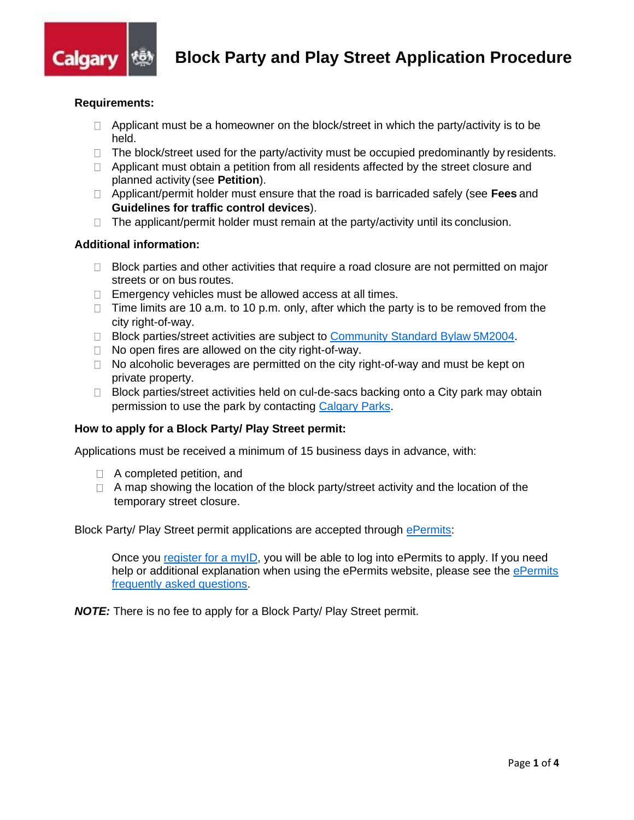

# **Requirements:**

- $\Box$  Applicant must be a homeowner on the block/street in which the party/activity is to be held.
- $\Box$  The block/street used for the party/activity must be occupied predominantly by residents.
- $\Box$  Applicant must obtain a petition from all residents affected by the street closure and planned activity (see **Petition**).
- Applicant/permit holder must ensure that the road is barricaded safely (see **Fees** and **Guidelines for traffic control devices**).
- $\Box$  The applicant/permit holder must remain at the party/activity until its conclusion.

## **Additional information:**

- $\Box$  Block parties and other activities that require a road closure are not permitted on major streets or on bus routes.
- $\Box$  Emergency vehicles must be allowed access at all times.
- $\Box$  Time limits are 10 a.m. to 10 p.m. only, after which the party is to be removed from the city right-of-way.
- □ Block parties/street activities are subject to [Community Standard Bylaw](http://www.calgary.ca/CA/city-clerks/Documents/Legislative-services/Bylaws/5M2004-CommunityStandards.pdf) 5M2004.
- $\Box$  No open fires are allowed on the city right-of-way.
- $\Box$  No alcoholic beverages are permitted on the city right-of-way and must be kept on private property.
- $\Box$  Block parties/street activities held on cul-de-sacs backing onto a City park may obtain permission to use the park by contacting [Calgary Parks.](https://www.calgary.ca/CSPS/Parks/Pages/Bookings/Park-bookings.aspx)

## **How to apply for a Block Party/ Play Street permit:**

Applications must be received a minimum of 15 business days in advance, with:

- □ A completed petition, and
- $\Box$  A map showing the location of the block party/street activity and the location of the temporary street closure.

Block Party/ Play Street permit applications are accepted through [ePermits:](https://epermits.calgary.ca/Public/Login.aspx?ReturnUrl=%2f)

Once you register for a myID, you will be able to log into ePermits to apply. If you need help or additional explanation when using the [ePermits](http://www.calgary.ca/Transportation/Roads/Pages/Traffic/Permits/ePermits-FAQs.aspx) website, please see the ePermits [frequently asked questions.](http://www.calgary.ca/Transportation/Roads/Pages/Traffic/Permits/ePermits-FAQs.aspx)

*NOTE:* There is no fee to apply for a Block Party/ Play Street permit.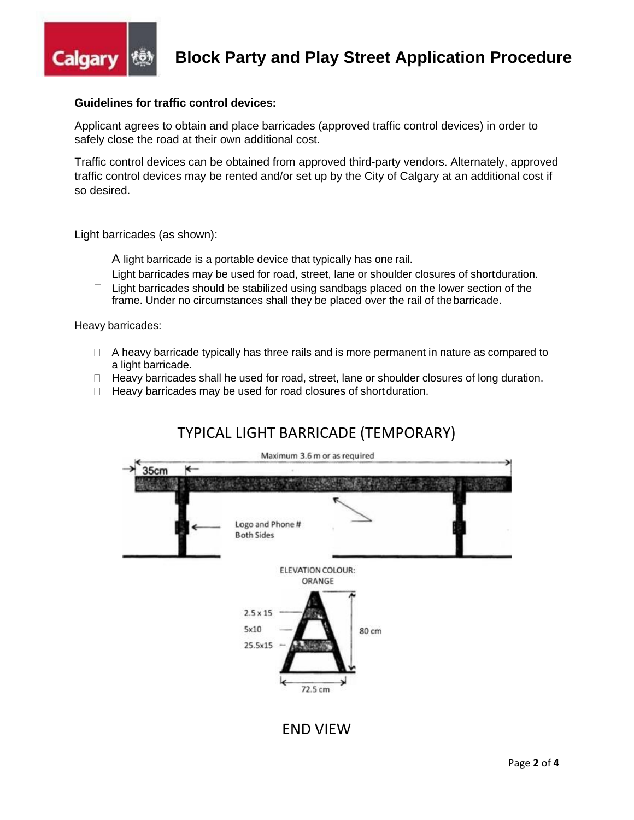

# **Guidelines for traffic control devices:**

Applicant agrees to obtain and place barricades (approved traffic control devices) in order to safely close the road at their own additional cost.

Traffic control devices can be obtained from approved third-party vendors. Alternately, approved traffic control devices may be rented and/or set up by the City of Calgary at an additional cost if so desired.

Light barricades (as shown):

- $\Box$  A light barricade is a portable device that typically has one rail.
- $\Box$  Light barricades may be used for road, street, lane or shoulder closures of shortduration.
- $\Box$  Light barricades should be stabilized using sandbags placed on the lower section of the frame. Under no circumstances shall they be placed over the rail of thebarricade.

Heavy barricades:

- □ A heavy barricade typically has three rails and is more permanent in nature as compared to a light barricade.
- $\Box$  Heavy barricades shall he used for road, street, lane or shoulder closures of long duration.
- $\Box$  Heavy barricades may be used for road closures of short duration.

# TYPICAL LIGHT BARRICADE (TEMPORARY)



END VIEW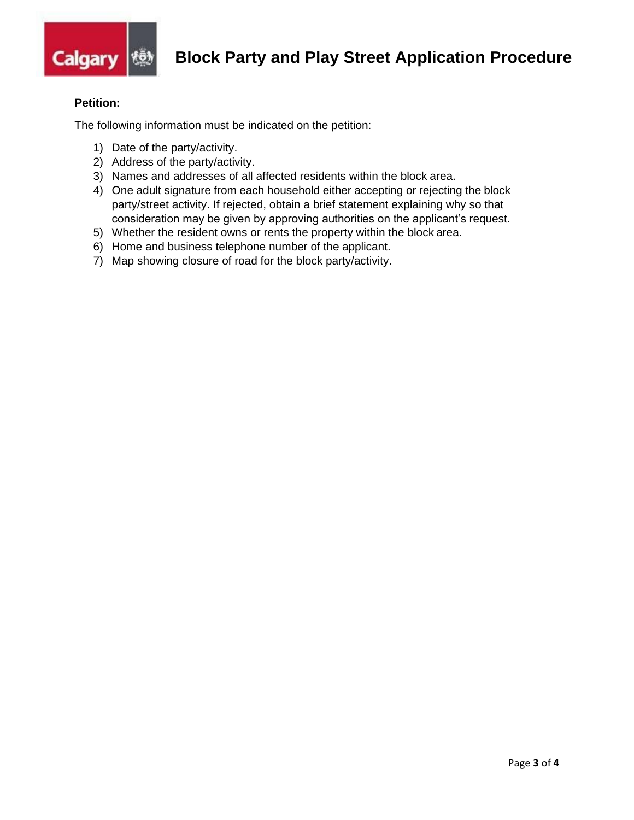

# **Petition:**

The following information must be indicated on the petition:

- 1) Date of the party/activity.
- 2) Address of the party/activity.
- 3) Names and addresses of all affected residents within the block area.
- 4) One adult signature from each household either accepting or rejecting the block party/street activity. If rejected, obtain a brief statement explaining why so that consideration may be given by approving authorities on the applicant's request.
- 5) Whether the resident owns or rents the property within the block area.
- 6) Home and business telephone number of the applicant.
- 7) Map showing closure of road for the block party/activity.